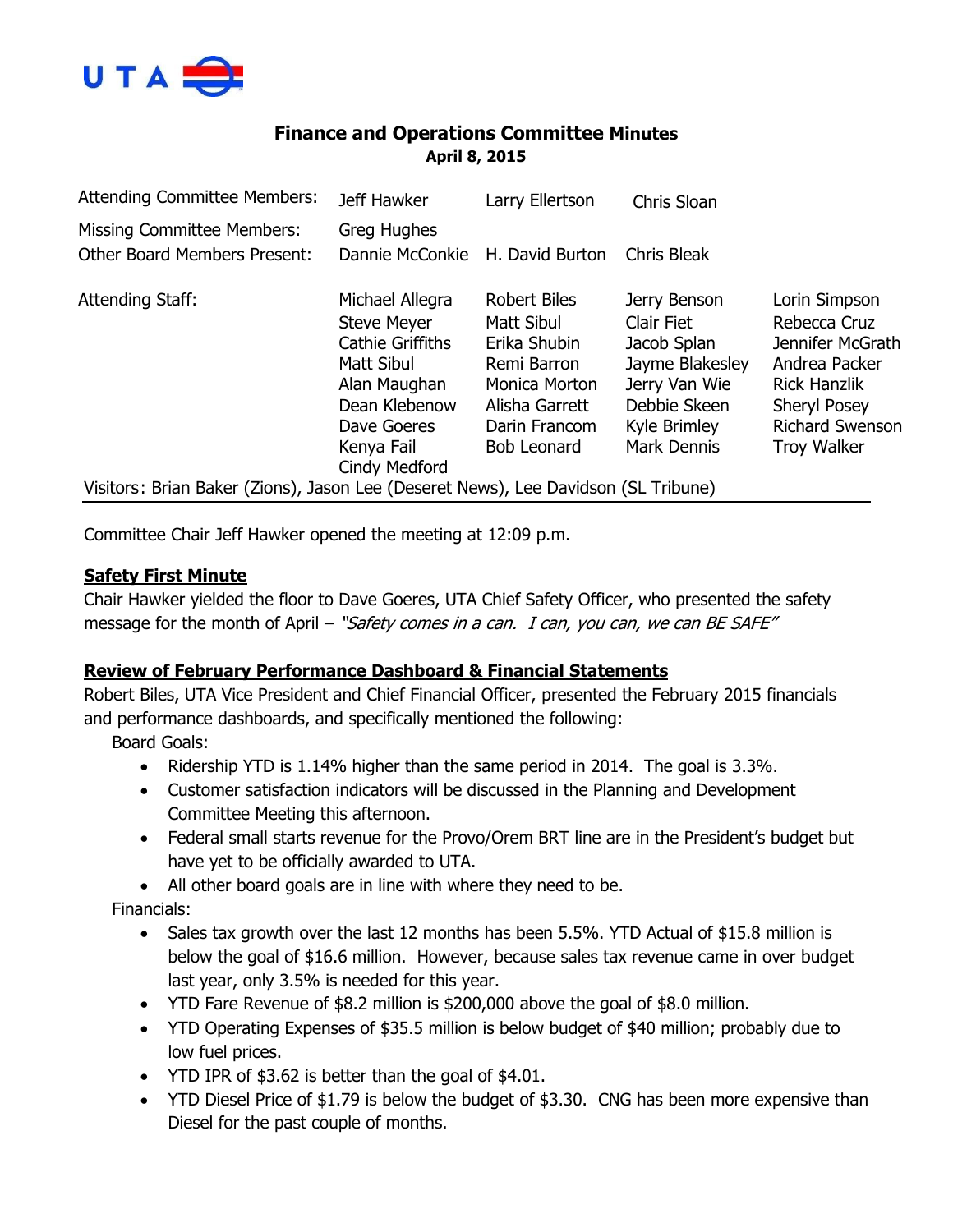

# **Finance and Operations Committee Minutes April 8, 2015**

| <b>Attending Committee Members:</b>                                                | Jeff Hawker                                                                                                                                  | Larry Ellertson                                                                                                                            | Chris Sloan                                                                                                                         |                                                                                                                                                           |
|------------------------------------------------------------------------------------|----------------------------------------------------------------------------------------------------------------------------------------------|--------------------------------------------------------------------------------------------------------------------------------------------|-------------------------------------------------------------------------------------------------------------------------------------|-----------------------------------------------------------------------------------------------------------------------------------------------------------|
| <b>Missing Committee Members:</b>                                                  | Greg Hughes                                                                                                                                  |                                                                                                                                            |                                                                                                                                     |                                                                                                                                                           |
| <b>Other Board Members Present:</b>                                                | Dannie McConkie                                                                                                                              | H. David Burton                                                                                                                            | <b>Chris Bleak</b>                                                                                                                  |                                                                                                                                                           |
| Attending Staff:                                                                   | Michael Allegra<br><b>Steve Meyer</b><br><b>Cathie Griffiths</b><br>Matt Sibul<br>Alan Maughan<br>Dean Klebenow<br>Dave Goeres<br>Kenya Fail | <b>Robert Biles</b><br>Matt Sibul<br>Erika Shubin<br>Remi Barron<br>Monica Morton<br>Alisha Garrett<br>Darin Francom<br><b>Bob Leonard</b> | Jerry Benson<br>Clair Fiet<br>Jacob Splan<br>Jayme Blakesley<br>Jerry Van Wie<br>Debbie Skeen<br>Kyle Brimley<br><b>Mark Dennis</b> | Lorin Simpson<br>Rebecca Cruz<br>Jennifer McGrath<br>Andrea Packer<br><b>Rick Hanzlik</b><br><b>Sheryl Posey</b><br>Richard Swenson<br><b>Troy Walker</b> |
|                                                                                    | Cindy Medford                                                                                                                                |                                                                                                                                            |                                                                                                                                     |                                                                                                                                                           |
| Visitors: Brian Baker (Zions), Jason Lee (Deseret News), Lee Davidson (SL Tribune) |                                                                                                                                              |                                                                                                                                            |                                                                                                                                     |                                                                                                                                                           |

Committee Chair Jeff Hawker opened the meeting at 12:09 p.m.

### **Safety First Minute**

Chair Hawker yielded the floor to Dave Goeres, UTA Chief Safety Officer, who presented the safety message for the month of April – "Safety comes in a can. I can, you can, we can BE SAFE"

### **Review of February Performance Dashboard & Financial Statements**

Robert Biles, UTA Vice President and Chief Financial Officer, presented the February 2015 financials and performance dashboards, and specifically mentioned the following:

Board Goals:

- Ridership YTD is 1.14% higher than the same period in 2014. The goal is 3.3%.
- Customer satisfaction indicators will be discussed in the Planning and Development Committee Meeting this afternoon.
- Federal small starts revenue for the Provo/Orem BRT line are in the President's budget but have yet to be officially awarded to UTA.
- All other board goals are in line with where they need to be.

Financials:

- $\bullet$  Sales tax growth over the last 12 months has been 5.5%. YTD Actual of \$15.8 million is below the goal of \$16.6 million. However, because sales tax revenue came in over budget last year, only 3.5% is needed for this year.
- YTD Fare Revenue of \$8.2 million is \$200,000 above the goal of \$8.0 million.
- YTD Operating Expenses of \$35.5 million is below budget of \$40 million; probably due to low fuel prices.
- YTD IPR of \$3.62 is better than the goal of \$4.01.
- YTD Diesel Price of \$1.79 is below the budget of \$3.30. CNG has been more expensive than Diesel for the past couple of months.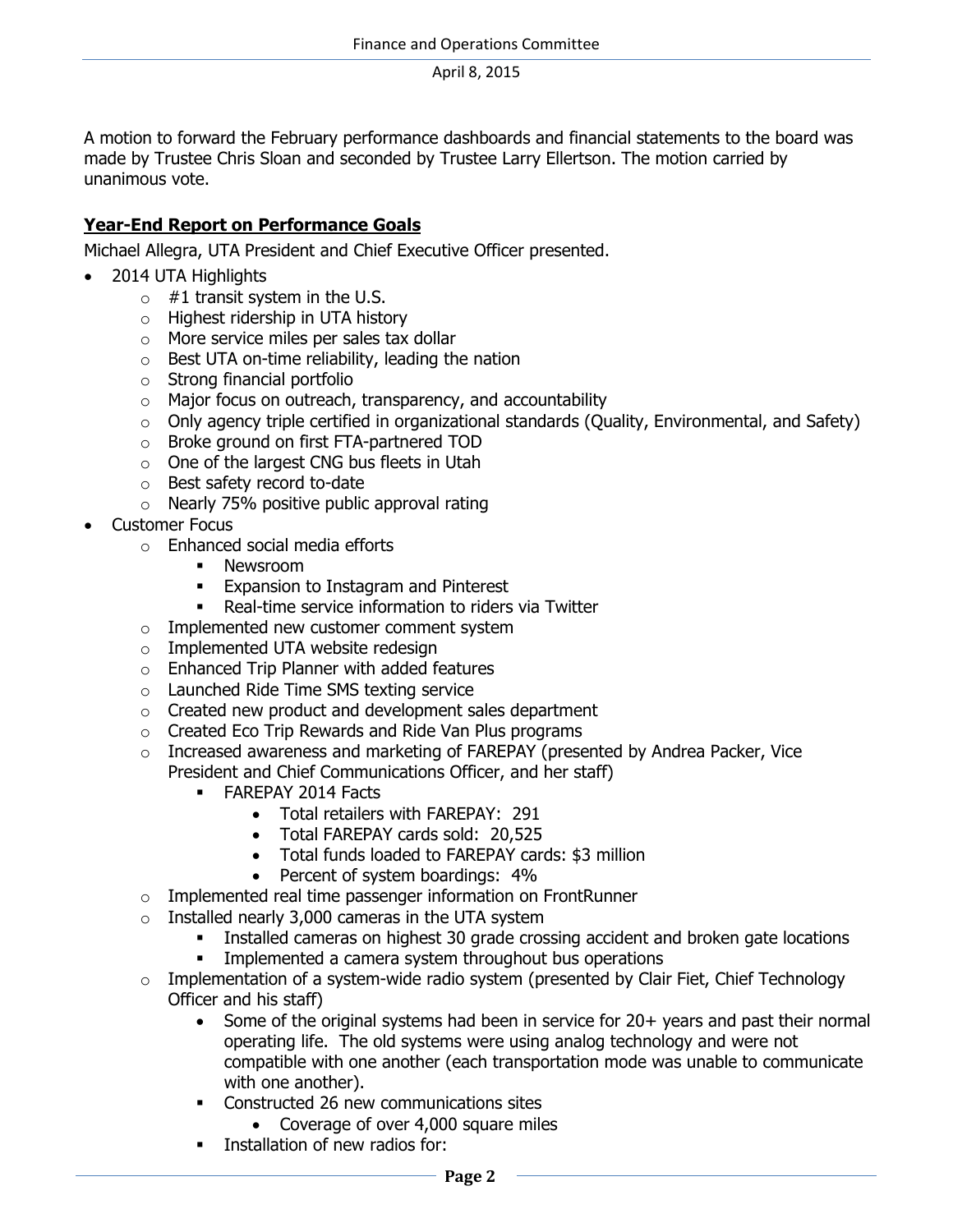A motion to forward the February performance dashboards and financial statements to the board was made by Trustee Chris Sloan and seconded by Trustee Larry Ellertson. The motion carried by unanimous vote.

# **Year-End Report on Performance Goals**

Michael Allegra, UTA President and Chief Executive Officer presented.

- 2014 UTA Highlights
	- $\circ$  #1 transit system in the U.S.
	- o Highest ridership in UTA history
	- o More service miles per sales tax dollar
	- $\circ$  Best UTA on-time reliability, leading the nation
	- o Strong financial portfolio
	- $\circ$  Major focus on outreach, transparency, and accountability
	- o Only agency triple certified in organizational standards (Quality, Environmental, and Safety)
	- o Broke ground on first FTA-partnered TOD
	- o One of the largest CNG bus fleets in Utah
	- o Best safety record to-date
	- $\circ$  Nearly 75% positive public approval rating
- Customer Focus
	- o Enhanced social media efforts
		- **Newsroom**
		- **Expansion to Instagram and Pinterest**
		- Real-time service information to riders via Twitter
	- o Implemented new customer comment system
	- o Implemented UTA website redesign
	- o Enhanced Trip Planner with added features
	- o Launched Ride Time SMS texting service
	- o Created new product and development sales department
	- o Created Eco Trip Rewards and Ride Van Plus programs
	- $\circ$  Increased awareness and marketing of FAREPAY (presented by Andrea Packer, Vice President and Chief Communications Officer, and her staff)
		- **FAREPAY 2014 Facts** 
			- Total retailers with FAREPAY: 291
			- Total FAREPAY cards sold: 20,525
			- Total funds loaded to FAREPAY cards: \$3 million
			- Percent of system boardings: 4%
	- $\circ$  Implemented real time passenger information on FrontRunner
	- $\circ$  Installed nearly 3,000 cameras in the UTA system
		- Installed cameras on highest 30 grade crossing accident and broken gate locations
		- **Implemented a camera system throughout bus operations**
	- $\circ$  Implementation of a system-wide radio system (presented by Clair Fiet, Chief Technology Officer and his staff)
		- Some of the original systems had been in service for 20+ years and past their normal operating life. The old systems were using analog technology and were not compatible with one another (each transportation mode was unable to communicate with one another).
		- **•** Constructed 26 new communications sites
			- Coverage of over 4,000 square miles
		- Installation of new radios for: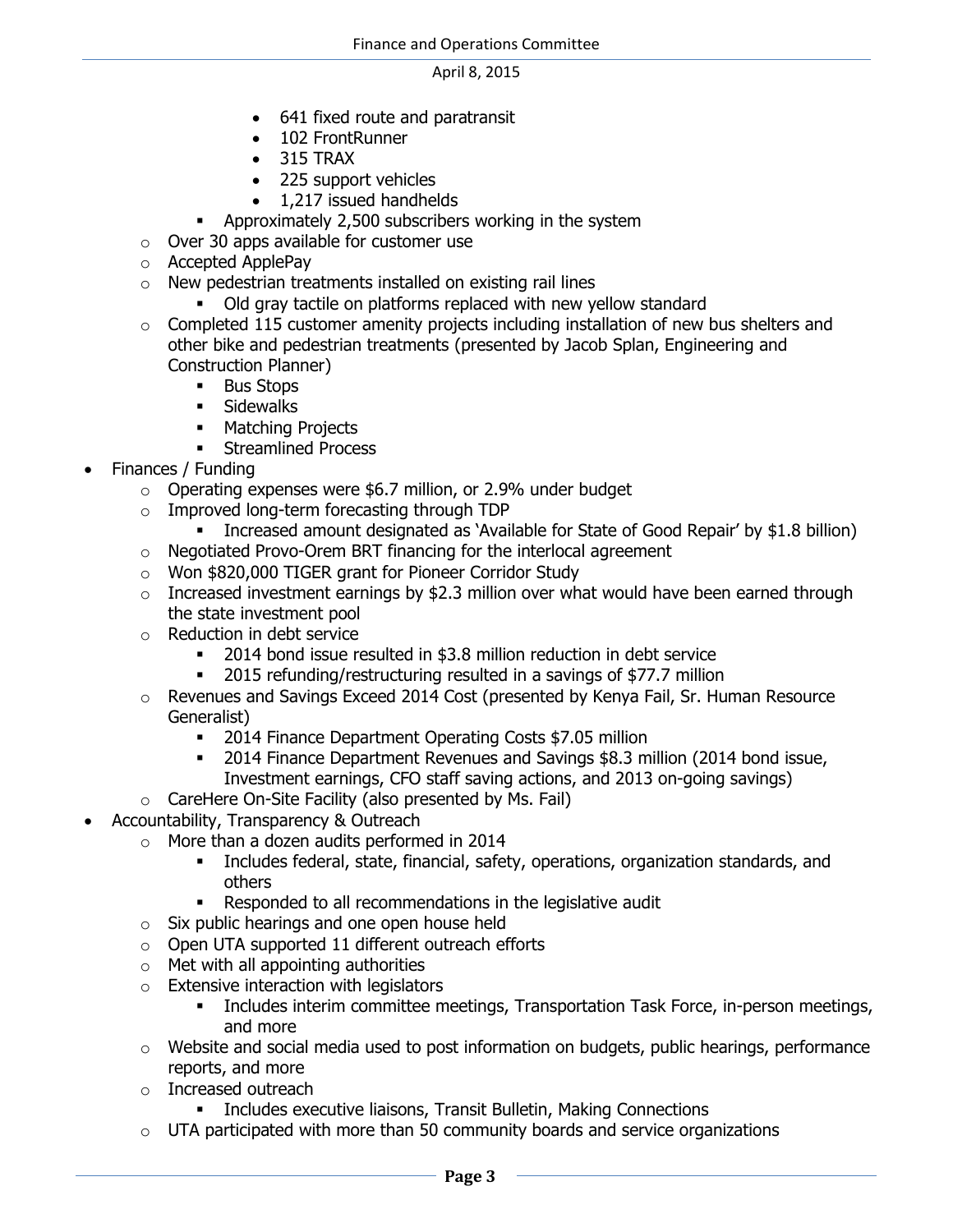- 641 fixed route and paratransit
- 102 FrontRunner
- 315 TRAX
- 225 support vehicles
- 1,217 issued handhelds
- Approximately 2,500 subscribers working in the system
- o Over 30 apps available for customer use
- o Accepted ApplePay
- o New pedestrian treatments installed on existing rail lines
	- Old gray tactile on platforms replaced with new yellow standard
- $\circ$  Completed 115 customer amenity projects including installation of new bus shelters and other bike and pedestrian treatments (presented by Jacob Splan, Engineering and Construction Planner)
	- **Bus Stops**
	- **Sidewalks**
	- **Matching Projects**
	- **Streamlined Process**
- Finances / Funding
	- o Operating expenses were \$6.7 million, or 2.9% under budget
	- o Improved long-term forecasting through TDP
		- Increased amount designated as 'Available for State of Good Repair' by \$1.8 billion)
	- o Negotiated Provo-Orem BRT financing for the interlocal agreement
	- o Won \$820,000 TIGER grant for Pioneer Corridor Study
	- $\circ$  Increased investment earnings by \$2.3 million over what would have been earned through the state investment pool
	- o Reduction in debt service
		- 2014 bond issue resulted in \$3.8 million reduction in debt service
		- 2015 refunding/restructuring resulted in a savings of \$77.7 million
	- o Revenues and Savings Exceed 2014 Cost (presented by Kenya Fail, Sr. Human Resource Generalist)
		- **2014 Finance Department Operating Costs \$7.05 million**
		- <sup>2014</sup> Finance Department Revenues and Savings \$8.3 million (2014 bond issue, Investment earnings, CFO staff saving actions, and 2013 on-going savings)
	- o CareHere On-Site Facility (also presented by Ms. Fail)
- Accountability, Transparency & Outreach
	- o More than a dozen audits performed in 2014
		- Includes federal, state, financial, safety, operations, organization standards, and others
		- Responded to all recommendations in the legislative audit
	- o Six public hearings and one open house held
	- o Open UTA supported 11 different outreach efforts
	- $\circ$  Met with all appointing authorities
	- o Extensive interaction with legislators
		- **Includes interim committee meetings, Transportation Task Force, in-person meetings,** and more
	- $\circ$  Website and social media used to post information on budgets, public hearings, performance reports, and more
	- o Increased outreach
		- **EXECUTE: Includes executive liaisons, Transit Bulletin, Making Connections**
	- $\circ$  UTA participated with more than 50 community boards and service organizations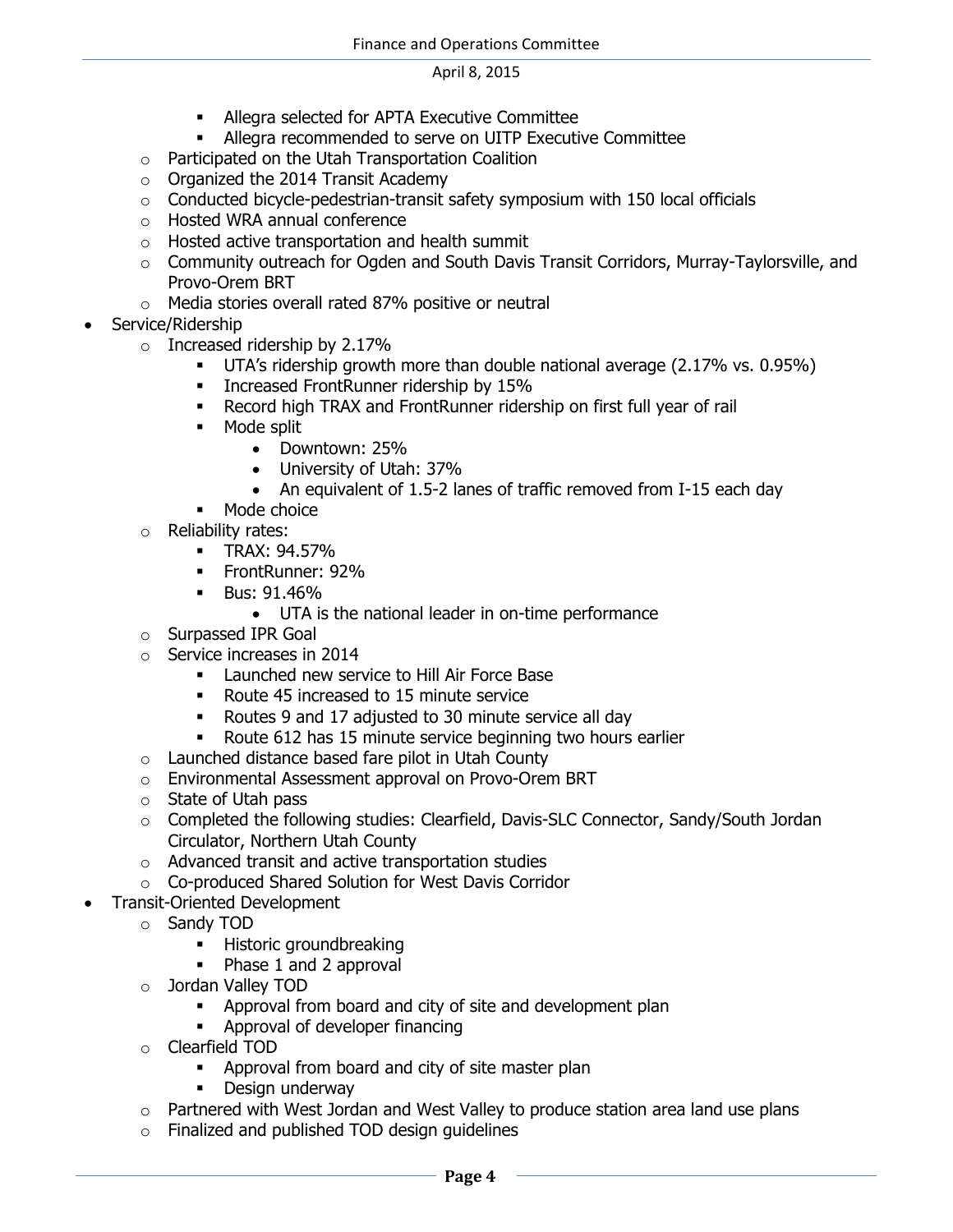- Allegra selected for APTA Executive Committee
- Allegra recommended to serve on UITP Executive Committee
- o Participated on the Utah Transportation Coalition
- o Organized the 2014 Transit Academy
- o Conducted bicycle-pedestrian-transit safety symposium with 150 local officials
- o Hosted WRA annual conference
- o Hosted active transportation and health summit
- $\circ$  Community outreach for Ogden and South Davis Transit Corridors, Murray-Taylorsville, and Provo-Orem BRT
- o Media stories overall rated 87% positive or neutral
- Service/Ridership
	- $\circ$  Increased ridership by 2.17%
		- UTA's ridership growth more than double national average (2.17% vs. 0.95%)
		- **Increased FrontRunner ridership by 15%**
		- Record high TRAX and FrontRunner ridership on first full year of rail
		- **Mode split** 
			- Downtown: 25%
			- University of Utah: 37%
			- An equivalent of 1.5-2 lanes of traffic removed from I-15 each day
		- Mode choice
	- o Reliability rates:
		- TRAX: 94.57%
		- **FrontRunner: 92%**
		- Bus: 91.46%
			- UTA is the national leader in on-time performance
	- o Surpassed IPR Goal
	- o Service increases in 2014
		- Launched new service to Hill Air Force Base
		- Route 45 increased to 15 minute service
		- Routes 9 and 17 adjusted to 30 minute service all day
		- Route 612 has 15 minute service beginning two hours earlier
	- $\circ$  Launched distance based fare pilot in Utah County
	- o Environmental Assessment approval on Provo-Orem BRT
	- o State of Utah pass
	- o Completed the following studies: Clearfield, Davis-SLC Connector, Sandy/South Jordan Circulator, Northern Utah County
	- o Advanced transit and active transportation studies
	- o Co-produced Shared Solution for West Davis Corridor
- Transit-Oriented Development
	- o Sandy TOD
		- **Historic groundbreaking**
		- Phase 1 and 2 approval
	- o Jordan Valley TOD
		- Approval from board and city of site and development plan
		- **-** Approval of developer financing
	- o Clearfield TOD
		- **-** Approval from board and city of site master plan
		- **-** Design underway
	- o Partnered with West Jordan and West Valley to produce station area land use plans
	- o Finalized and published TOD design guidelines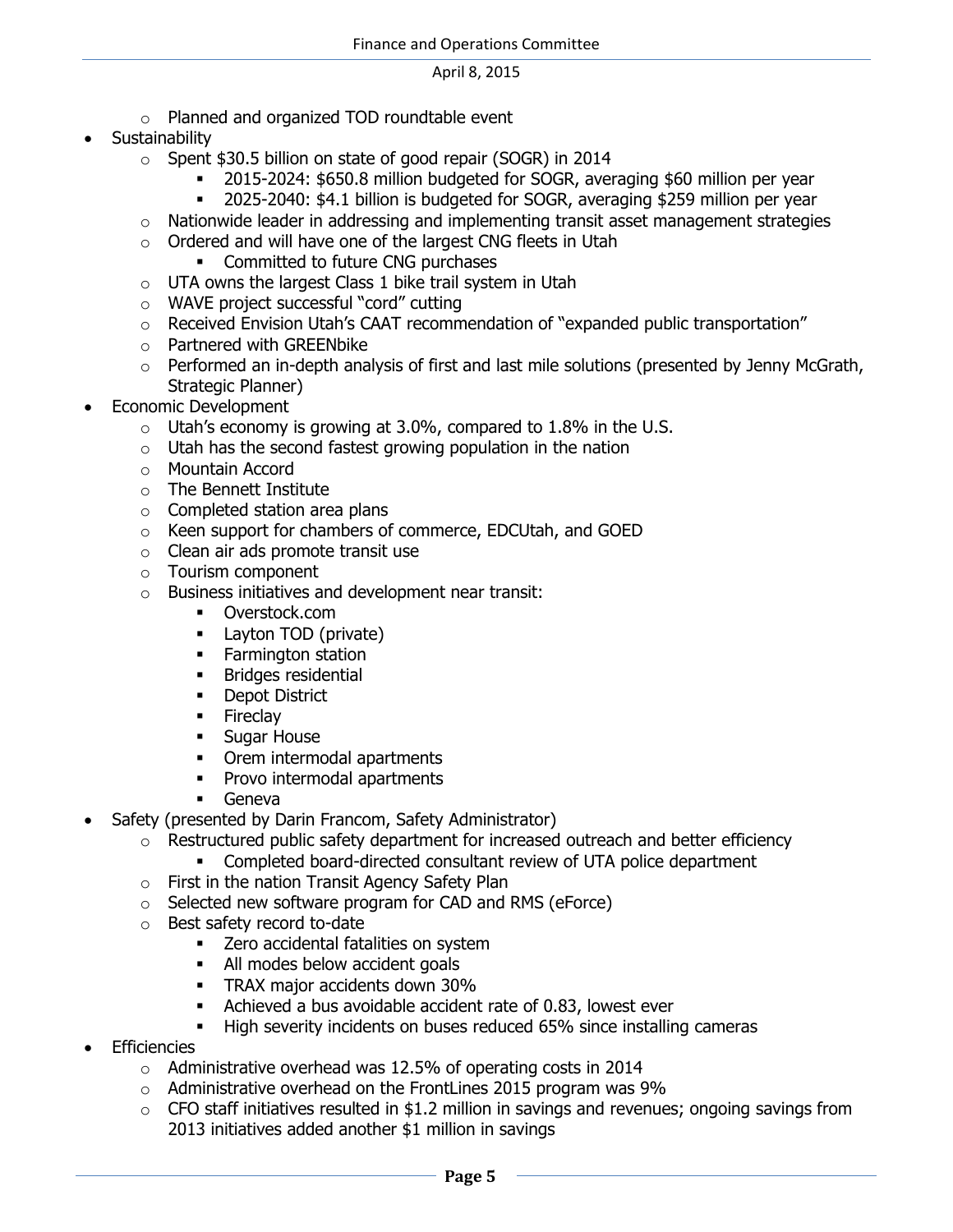- o Planned and organized TOD roundtable event
- **Sustainability** 
	- o Spent \$30.5 billion on state of good repair (SOGR) in 2014
		- 2015-2024: \$650.8 million budgeted for SOGR, averaging \$60 million per year
		- 2025-2040: \$4.1 billion is budgeted for SOGR, averaging \$259 million per year
	- $\circ$  Nationwide leader in addressing and implementing transit asset management strategies
	- o Ordered and will have one of the largest CNG fleets in Utah
		- Committed to future CNG purchases
	- $\circ$  UTA owns the largest Class 1 bike trail system in Utah
	- o WAVE project successful "cord" cutting
	- $\circ$  Received Envision Utah's CAAT recommendation of "expanded public transportation"
	- o Partnered with GREENbike
	- $\circ$  Performed an in-depth analysis of first and last mile solutions (presented by Jenny McGrath, Strategic Planner)
- Economic Development
	- $\circ$  Utah's economy is growing at 3.0%, compared to 1.8% in the U.S.
	- $\circ$  Utah has the second fastest growing population in the nation
	- o Mountain Accord
	- o The Bennett Institute
	- o Completed station area plans
	- o Keen support for chambers of commerce, EDCUtah, and GOED
	- o Clean air ads promote transit use
	- o Tourism component
	- o Business initiatives and development near transit:
		- Overstock.com
		- **Layton TOD (private)**
		- **Farmington station**
		- **Bridges residential**
		- **Depot District**
		- **Fireclay**
		- **Sugar House**
		- Orem intermodal apartments
		- Provo intermodal apartments
		- **Geneva**
- Safety (presented by Darin Francom, Safety Administrator)
	- $\circ$  Restructured public safety department for increased outreach and better efficiency
		- Completed board-directed consultant review of UTA police department
	- o First in the nation Transit Agency Safety Plan
	- o Selected new software program for CAD and RMS (eForce)
	- o Best safety record to-date
		- **EXECT** Zero accidental fatalities on system
		- All modes below accident goals
		- **TRAX major accidents down 30%**
		- Achieved a bus avoidable accident rate of 0.83, lowest ever
		- High severity incidents on buses reduced 65% since installing cameras
- **Efficiencies** 
	- o Administrative overhead was 12.5% of operating costs in 2014
	- $\circ$  Administrative overhead on the FrontLines 2015 program was 9%
	- $\circ$  CFO staff initiatives resulted in \$1.2 million in savings and revenues; ongoing savings from 2013 initiatives added another \$1 million in savings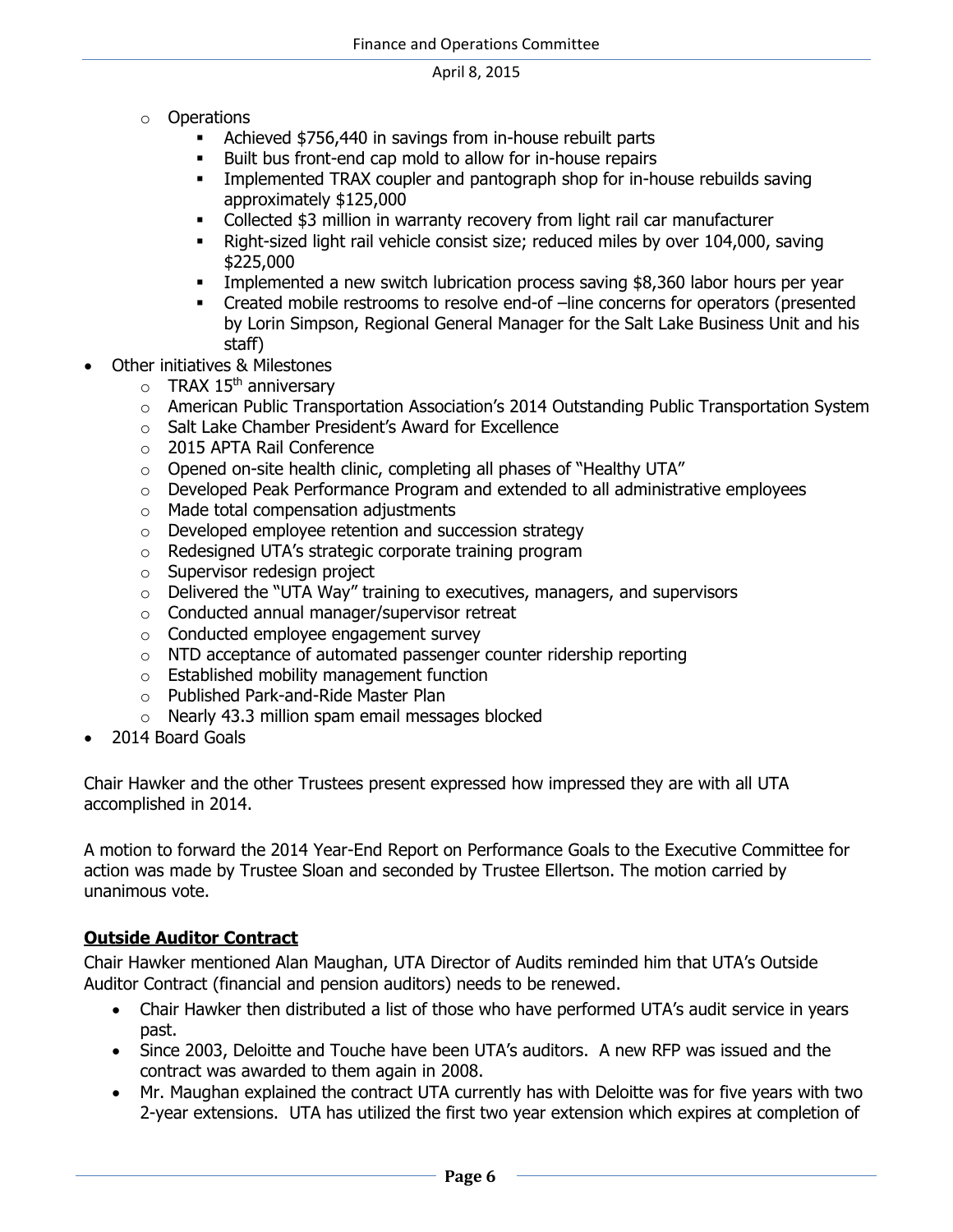- o Operations
	- Achieved \$756,440 in savings from in-house rebuilt parts
	- Built bus front-end cap mold to allow for in-house repairs
	- **IMPLEM** Implemented TRAX coupler and pantograph shop for in-house rebuilds saving approximately \$125,000
	- Collected \$3 million in warranty recovery from light rail car manufacturer
	- Right-sized light rail vehicle consist size; reduced miles by over 104,000, saving \$225,000
	- Implemented a new switch lubrication process saving \$8,360 labor hours per year
	- Created mobile restrooms to resolve end-of –line concerns for operators (presented by Lorin Simpson, Regional General Manager for the Salt Lake Business Unit and his staff)
- Other initiatives & Milestones
	- $\circ$  TRAX 15<sup>th</sup> anniversary
	- o American Public Transportation Association's 2014 Outstanding Public Transportation System
	- o Salt Lake Chamber President's Award for Excellence
	- o 2015 APTA Rail Conference
	- o Opened on-site health clinic, completing all phases of "Healthy UTA"
	- o Developed Peak Performance Program and extended to all administrative employees
	- o Made total compensation adjustments
	- o Developed employee retention and succession strategy
	- o Redesigned UTA's strategic corporate training program
	- o Supervisor redesign project
	- o Delivered the "UTA Way" training to executives, managers, and supervisors
	- o Conducted annual manager/supervisor retreat
	- o Conducted employee engagement survey
	- o NTD acceptance of automated passenger counter ridership reporting
	- o Established mobility management function
	- o Published Park-and-Ride Master Plan
	- o Nearly 43.3 million spam email messages blocked
- 2014 Board Goals

Chair Hawker and the other Trustees present expressed how impressed they are with all UTA accomplished in 2014.

A motion to forward the 2014 Year-End Report on Performance Goals to the Executive Committee for action was made by Trustee Sloan and seconded by Trustee Ellertson. The motion carried by unanimous vote.

### **Outside Auditor Contract**

Chair Hawker mentioned Alan Maughan, UTA Director of Audits reminded him that UTA's Outside Auditor Contract (financial and pension auditors) needs to be renewed.

- Chair Hawker then distributed a list of those who have performed UTA's audit service in years past.
- Since 2003, Deloitte and Touche have been UTA's auditors. A new RFP was issued and the contract was awarded to them again in 2008.
- Mr. Maughan explained the contract UTA currently has with Deloitte was for five years with two 2-year extensions. UTA has utilized the first two year extension which expires at completion of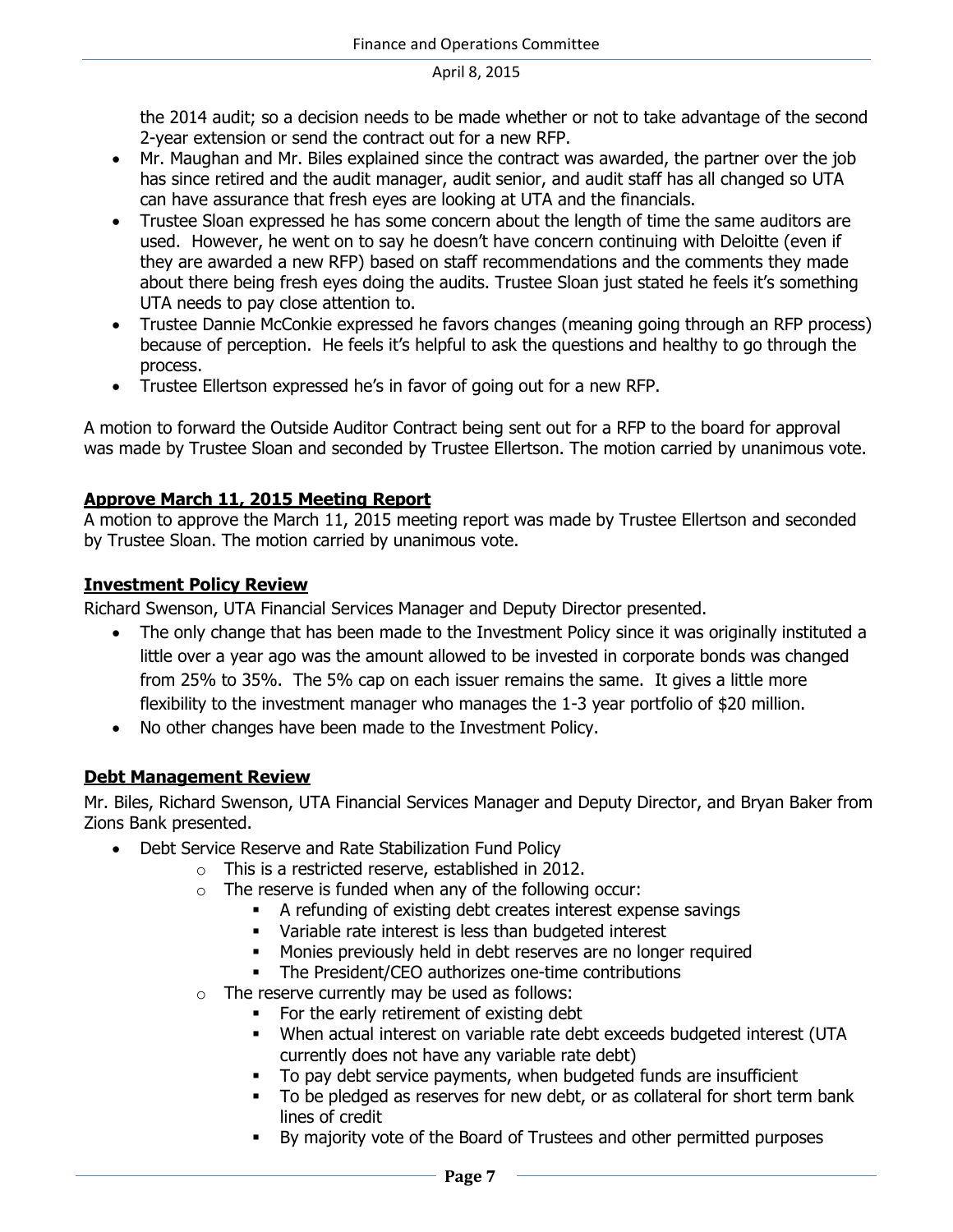the 2014 audit; so a decision needs to be made whether or not to take advantage of the second 2-year extension or send the contract out for a new RFP.

- Mr. Maughan and Mr. Biles explained since the contract was awarded, the partner over the job has since retired and the audit manager, audit senior, and audit staff has all changed so UTA can have assurance that fresh eyes are looking at UTA and the financials.
- Trustee Sloan expressed he has some concern about the length of time the same auditors are used. However, he went on to say he doesn't have concern continuing with Deloitte (even if they are awarded a new RFP) based on staff recommendations and the comments they made about there being fresh eyes doing the audits. Trustee Sloan just stated he feels it's something UTA needs to pay close attention to.
- Trustee Dannie McConkie expressed he favors changes (meaning going through an RFP process) because of perception. He feels it's helpful to ask the questions and healthy to go through the process.
- Trustee Ellertson expressed he's in favor of going out for a new RFP.

A motion to forward the Outside Auditor Contract being sent out for a RFP to the board for approval was made by Trustee Sloan and seconded by Trustee Ellertson. The motion carried by unanimous vote.

# **Approve March 11, 2015 Meeting Report**

A motion to approve the March 11, 2015 meeting report was made by Trustee Ellertson and seconded by Trustee Sloan. The motion carried by unanimous vote.

### **Investment Policy Review**

Richard Swenson, UTA Financial Services Manager and Deputy Director presented.

- The only change that has been made to the Investment Policy since it was originally instituted a little over a year ago was the amount allowed to be invested in corporate bonds was changed from 25% to 35%. The 5% cap on each issuer remains the same. It gives a little more flexibility to the investment manager who manages the 1-3 year portfolio of \$20 million.
- No other changes have been made to the Investment Policy.

# **Debt Management Review**

Mr. Biles, Richard Swenson, UTA Financial Services Manager and Deputy Director, and Bryan Baker from Zions Bank presented.

- Debt Service Reserve and Rate Stabilization Fund Policy
	- o This is a restricted reserve, established in 2012.
	- $\circ$  The reserve is funded when any of the following occur:
		- A refunding of existing debt creates interest expense savings
		- Variable rate interest is less than budgeted interest
		- **Monies previously held in debt reserves are no longer required**
		- The President/CEO authorizes one-time contributions
	- $\circ$  The reserve currently may be used as follows:
		- For the early retirement of existing debt
		- When actual interest on variable rate debt exceeds budgeted interest (UTA currently does not have any variable rate debt)
		- To pay debt service payments, when budgeted funds are insufficient
		- To be pledged as reserves for new debt, or as collateral for short term bank lines of credit
		- By majority vote of the Board of Trustees and other permitted purposes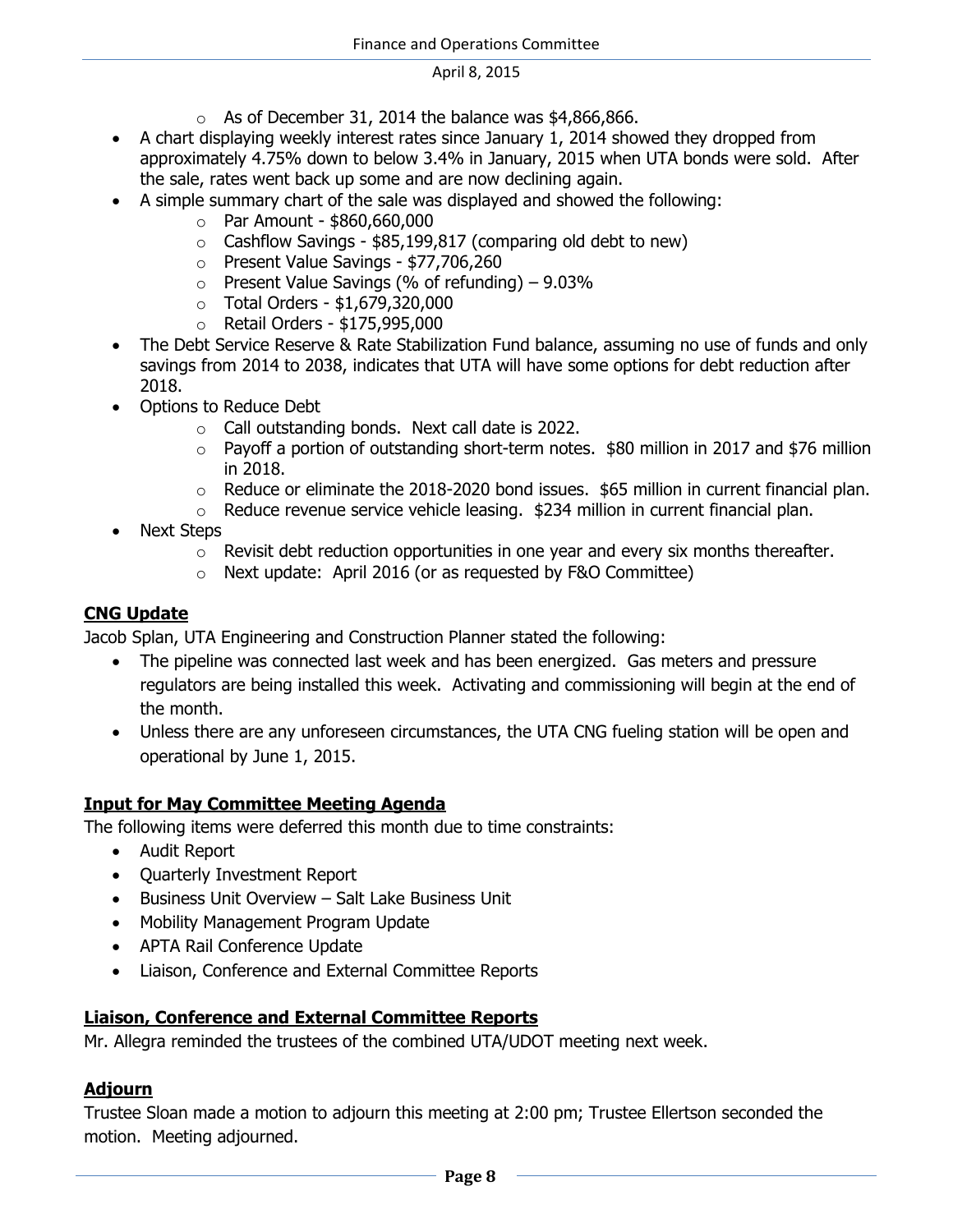- $\circ$  As of December 31, 2014 the balance was \$4,866,866.
- A chart displaying weekly interest rates since January 1, 2014 showed they dropped from approximately 4.75% down to below 3.4% in January, 2015 when UTA bonds were sold. After the sale, rates went back up some and are now declining again.
- A simple summary chart of the sale was displayed and showed the following:
	- o Par Amount \$860,660,000
	- $\circ$  Cashflow Savings \$85,199,817 (comparing old debt to new)
	- o Present Value Savings \$77,706,260
	- $\circ$  Present Value Savings (% of refunding) 9.03%
	- o Total Orders \$1,679,320,000
	- o Retail Orders \$175,995,000
- The Debt Service Reserve & Rate Stabilization Fund balance, assuming no use of funds and only savings from 2014 to 2038, indicates that UTA will have some options for debt reduction after 2018.
- Options to Reduce Debt
	- o Call outstanding bonds. Next call date is 2022.
	- $\circ$  Payoff a portion of outstanding short-term notes. \$80 million in 2017 and \$76 million in 2018.
	- $\circ$  Reduce or eliminate the 2018-2020 bond issues. \$65 million in current financial plan.
	- $\circ$  Reduce revenue service vehicle leasing. \$234 million in current financial plan.
- Next Steps
	- $\circ$  Revisit debt reduction opportunities in one year and every six months thereafter.
	- o Next update: April 2016 (or as requested by F&O Committee)

### **CNG Update**

Jacob Splan, UTA Engineering and Construction Planner stated the following:

- The pipeline was connected last week and has been energized. Gas meters and pressure regulators are being installed this week. Activating and commissioning will begin at the end of the month.
- Unless there are any unforeseen circumstances, the UTA CNG fueling station will be open and operational by June 1, 2015.

### **Input for May Committee Meeting Agenda**

The following items were deferred this month due to time constraints:

- Audit Report
- Ouarterly Investment Report
- Business Unit Overview Salt Lake Business Unit
- Mobility Management Program Update
- APTA Rail Conference Update
- Liaison, Conference and External Committee Reports

### **Liaison, Conference and External Committee Reports**

Mr. Allegra reminded the trustees of the combined UTA/UDOT meeting next week.

# **Adjourn**

Trustee Sloan made a motion to adjourn this meeting at 2:00 pm; Trustee Ellertson seconded the motion. Meeting adjourned.